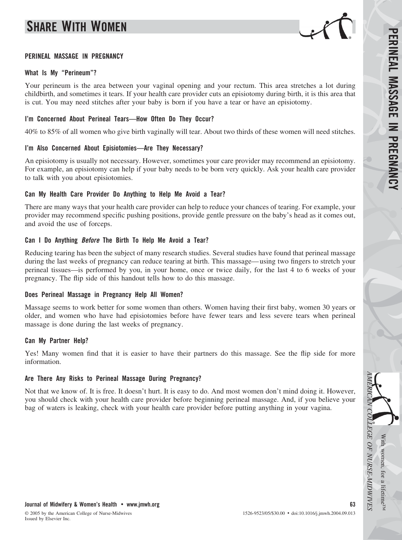# **SHARE WITH WOMEN**



#### **PERINEAL MASSAGE IN PREGNANCY**

#### **What Is My "Perineum"?**

Your perineum is the area between your vaginal opening and your rectum. This area stretches a lot during childbirth, and sometimes it tears. If your health care provider cuts an episiotomy during birth, it is this area that is cut. You may need stitches after your baby is born if you have a tear or have an episiotomy.

### **I'm Concerned About Perineal Tears—How Often Do They Occur?**

40% to 85% of all women who give birth vaginally will tear. About two thirds of these women will need stitches.

### **I'm Also Concerned About Episiotomies—Are They Necessary?**

An episiotomy is usually not necessary. However, sometimes your care provider may recommend an episiotomy. For example, an episiotomy can help if your baby needs to be born very quickly. Ask your health care provider to talk with you about episiotomies.

# **Can My Health Care Provider Do Anything to Help Me Avoid a Tear?**

There are many ways that your health care provider can help to reduce your chances of tearing. For example, your provider may recommend specific pushing positions, provide gentle pressure on the baby's head as it comes out, and avoid the use of forceps.

### **Can I Do Anything** *Before* **The Birth To Help Me Avoid a Tear?**

Reducing tearing has been the subject of many research studies. Several studies have found that perineal massage during the last weeks of pregnancy can reduce tearing at birth. This massage— using two fingers to stretch your perineal tissues—is performed by you, in your home, once or twice daily, for the last 4 to 6 weeks of your pregnancy. The flip side of this handout tells how to do this massage.

# **Does Perineal Massage in Pregnancy Help All Women?**

Massage seems to work better for some women than others. Women having their first baby, women 30 years or older, and women who have had episiotomies before have fewer tears and less severe tears when perineal massage is done during the last weeks of pregnancy.

#### **Can My Partner Help?**

Yes! Many women find that it is easier to have their partners do this massage. See the flip side for more information.

# **Are There Any Risks to Perineal Massage During Pregnancy?**

Not that we know of. It is free. It doesn't hurt. It is easy to do. And most women don't mind doing it. However, you should check with your health care provider before beginning perineal massage. And, if you believe your bag of waters is leaking, check with your health care provider before putting anything in your vagina.

*AMERICAN*